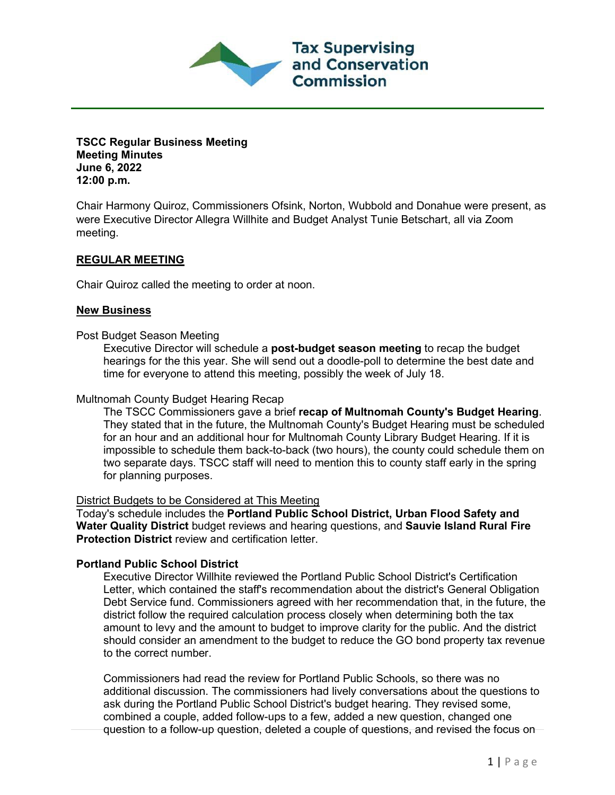**TSCC Regular Business Meeting Meeting Minutes June 6, 2022 12:00 p.m.**

Chair Harmony Quiroz, Commissioners Ofsink, Norton, Wubbold and Donahue were present, as were Executive Director Allegra Willhite and Budget Analyst Tunie Betschart, all via Zoom meeting.

**Tax Supervising** and Conservation

Commission

## **REGULAR MEETING**

Chair Quiroz called the meeting to order at noon.

### **New Business**

### Post Budget Season Meeting

Executive Director will schedule a **post-budget season meeting** to recap the budget hearings for the this year. She will send out a doodle-poll to determine the best date and time for everyone to attend this meeting, possibly the week of July 18.

#### Multnomah County Budget Hearing Recap

The TSCC Commissioners gave a brief **recap of Multnomah County's Budget Hearing**. They stated that in the future, the Multnomah County's Budget Hearing must be scheduled for an hour and an additional hour for Multnomah County Library Budget Hearing. If it is impossible to schedule them back-to-back (two hours), the county could schedule them on two separate days. TSCC staff will need to mention this to county staff early in the spring for planning purposes.

## District Budgets to be Considered at This Meeting

Today's schedule includes the **Portland Public School District, Urban Flood Safety and Water Quality District** budget reviews and hearing questions, and **Sauvie Island Rural Fire Protection District** review and certification letter.

#### **Portland Public School District**

Executive Director Willhite reviewed the Portland Public School District's Certification Letter, which contained the staff's recommendation about the district's General Obligation Debt Service fund. Commissioners agreed with her recommendation that, in the future, the district follow the required calculation process closely when determining both the tax amount to levy and the amount to budget to improve clarity for the public. And the district should consider an amendment to the budget to reduce the GO bond property tax revenue to the correct number.

Commissioners had read the review for Portland Public Schools, so there was no additional discussion. The commissioners had lively conversations about the questions to ask during the Portland Public School District's budget hearing. They revised some, combined a couple, added follow-ups to a few, added a new question, changed one question to a follow-up question, deleted a couple of questions, and revised the focus on